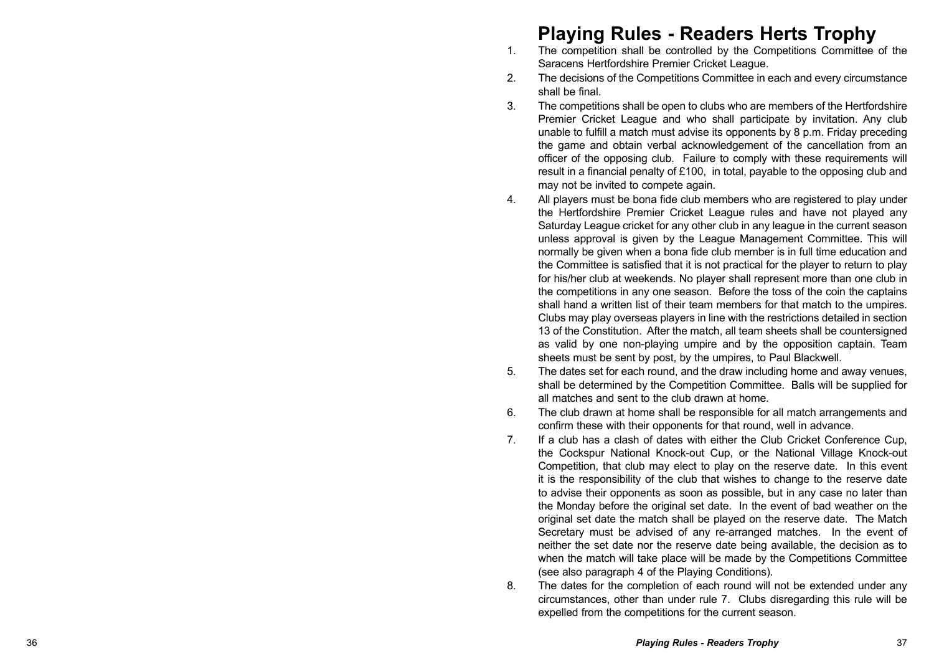## **Playing Rules - Readers Herts Trophy**

- 1. The competition shall be controlled by the Competitions Committee of the Saracens Hertfordshire Premier Cricket League.
- 2. The decisions of the Competitions Committee in each and every circumstance shall be final.
- 3. The competitions shall be open to clubs who are members of the Hertfordshire Premier Cricket League and who shall participate by invitation. Any club unable to fulfill a match must advise its opponents by 8 p.m. Friday preceding the game and obtain verbal acknowledgement of the cancellation from an officer of the opposing club. Failure to comply with these requirements will result in a financial penalty of £100, in total, payable to the opposing club and may not be invited to compete again.
- 4. All players must be bona fide club members who are registered to play under the Hertfordshire Premier Cricket League rules and have not played any Saturday League cricket for any other club in any league in the current season unless approval is given by the League Management Committee. This will normally be given when a bona fide club member is in full time education and the Committee is satisfied that it is not practical for the player to return to play for his/her club at weekends. No player shall represent more than one club in the competitions in any one season. Before the toss of the coin the captains shall hand a written list of their team members for that match to the umpires. Clubs may play overseas players in line with the restrictions detailed in section 13 of the Constitution. After the match, all team sheets shall be countersigned as valid by one non-playing umpire and by the opposition captain. Team sheets must be sent by post, by the umpires, to Paul Blackwell.
- 5. The dates set for each round, and the draw including home and away venues, shall be determined by the Competition Committee. Balls will be supplied for all matches and sent to the club drawn at home.
- 6. The club drawn at home shall be responsible for all match arrangements and confirm these with their opponents for that round, well in advance.
- 7. If a club has a clash of dates with either the Club Cricket Conference Cup, the Cockspur National Knock-out Cup, or the National Village Knock-out Competition, that club may elect to play on the reserve date. In this event it is the responsibility of the club that wishes to change to the reserve date to advise their opponents as soon as possible, but in any case no later than the Monday before the original set date. In the event of bad weather on the original set date the match shall be played on the reserve date. The Match Secretary must be advised of any re-arranged matches. In the event of neither the set date nor the reserve date being available, the decision as to when the match will take place will be made by the Competitions Committee (see also paragraph 4 of the Playing Conditions).
- 8. The dates for the completion of each round will not be extended under any circumstances, other than under rule 7. Clubs disregarding this rule will be expelled from the competitions for the current season.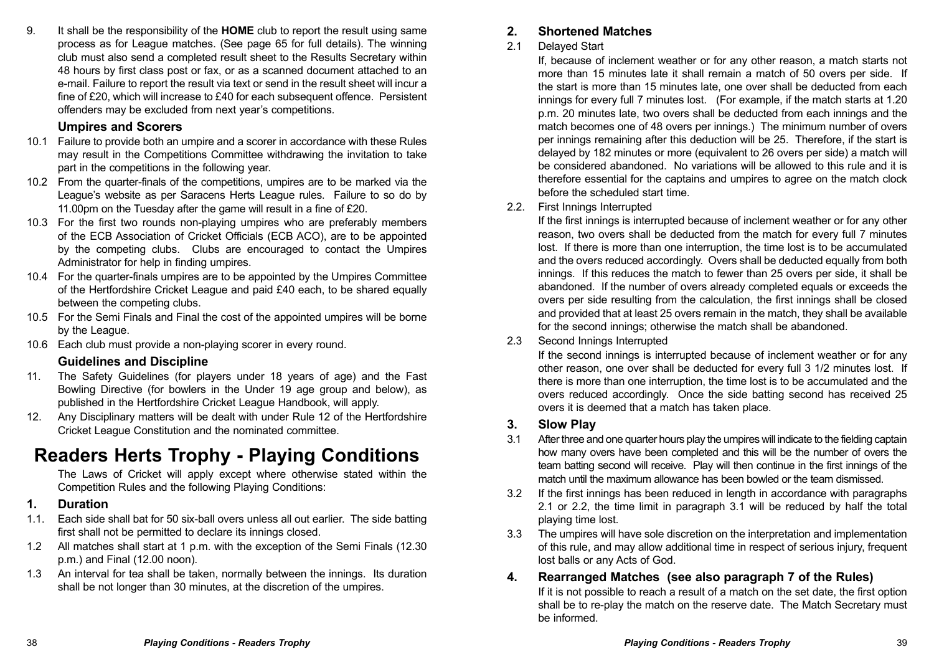9. It shall be the responsibility of the **HOME** club to report the result using same process as for League matches. (See page 65 for full details). The winning club must also send a completed result sheet to the Results Secretary within 48 hours by first class post or fax, or as a scanned document attached to an e-mail. Failure to report the result via text or send in the result sheet will incur a fine of £20, which will increase to £40 for each subsequent offence. Persistent offenders may be excluded from next year's competitions.

## **Umpires and Scorers**

- 10.1 Failure to provide both an umpire and a scorer in accordance with these Rules may result in the Competitions Committee withdrawing the invitation to take part in the competitions in the following year.
- 10.2 From the quarter-finals of the competitions, umpires are to be marked via the League's website as per Saracens Herts League rules. Failure to so do by 11.00pm on the Tuesday after the game will result in a fine of £20.
- 10.3 For the first two rounds non-playing umpires who are preferably members of the ECB Association of Cricket Officials (ECB ACO), are to be appointed by the competing clubs. Clubs are encouraged to contact the Umpires Administrator for help in finding umpires.
- 10.4 For the quarter-finals umpires are to be appointed by the Umpires Committee of the Hertfordshire Cricket League and paid £40 each, to be shared equally between the competing clubs.
- 10.5 For the Semi Finals and Final the cost of the appointed umpires will be borne by the League.
- 10.6 Each club must provide a non-playing scorer in every round.

## **Guidelines and Discipline**

- 11. The Safety Guidelines (for players under 18 years of age) and the Fast Bowling Directive (for bowlers in the Under 19 age group and below), as published in the Hertfordshire Cricket League Handbook, will apply.
- 12. Any Disciplinary matters will be dealt with under Rule 12 of the Hertfordshire Cricket League Constitution and the nominated committee.

# **Readers Herts Trophy - Playing Conditions**

The Laws of Cricket will apply except where otherwise stated within the Competition Rules and the following Playing Conditions:

### **1. Duration**

- 1.1. Each side shall bat for 50 six-ball overs unless all out earlier. The side batting first shall not be permitted to declare its innings closed.
- 1.2 All matches shall start at 1 p.m. with the exception of the Semi Finals (12.30 p.m.) and Final (12.00 noon).
- 1.3 An interval for tea shall be taken, normally between the innings. Its duration shall be not longer than 30 minutes, at the discretion of the umpires.

## **2. Shortened Matches**

#### 2.1 Delayed Start

If, because of inclement weather or for any other reason, a match starts not more than 15 minutes late it shall remain a match of 50 overs per side. If the start is more than 15 minutes late, one over shall be deducted from each innings for every full 7 minutes lost. (For example, if the match starts at 1.20) p.m. 20 minutes late, two overs shall be deducted from each innings and the match becomes one of 48 overs per innings.) The minimum number of overs per innings remaining after this deduction will be 25. Therefore, if the start is delayed by 182 minutes or more (equivalent to 26 overs per side) a match will be considered abandoned. No variations will be allowed to this rule and it is therefore essential for the captains and umpires to agree on the match clock before the scheduled start time.

#### 2.2. First Innings Interrupted

If the first innings is interrupted because of inclement weather or for any other reason, two overs shall be deducted from the match for every full 7 minutes lost. If there is more than one interruption, the time lost is to be accumulated and the overs reduced accordingly. Overs shall be deducted equally from both innings. If this reduces the match to fewer than 25 overs per side, it shall be abandoned. If the number of overs already completed equals or exceeds the overs per side resulting from the calculation, the first innings shall be closed and provided that at least 25 overs remain in the match, they shall be available for the second innings; otherwise the match shall be abandoned.

#### 2.3 Second Innings Interrupted

If the second innings is interrupted because of inclement weather or for any other reason, one over shall be deducted for every full 3 1/2 minutes lost. If there is more than one interruption, the time lost is to be accumulated and the overs reduced accordingly. Once the side batting second has received 25 overs it is deemed that a match has taken place.

### **3. Slow Play**

- 3.1 After three and one quarter hours play the umpires will indicate to the fielding captain how many overs have been completed and this will be the number of overs the team batting second will receive. Play will then continue in the first innings of the match until the maximum allowance has been bowled or the team dismissed.
- 3.2 If the first innings has been reduced in length in accordance with paragraphs 2.1 or 2.2, the time limit in paragraph 3.1 will be reduced by half the total playing time lost.
- 3.3 The umpires will have sole discretion on the interpretation and implementation of this rule, and may allow additional time in respect of serious injury, frequent lost balls or any Acts of God.

## **4. Rearranged Matches (see also paragraph 7 of the Rules)**

If it is not possible to reach a result of a match on the set date, the first option shall be to re-play the match on the reserve date. The Match Secretary must be informed.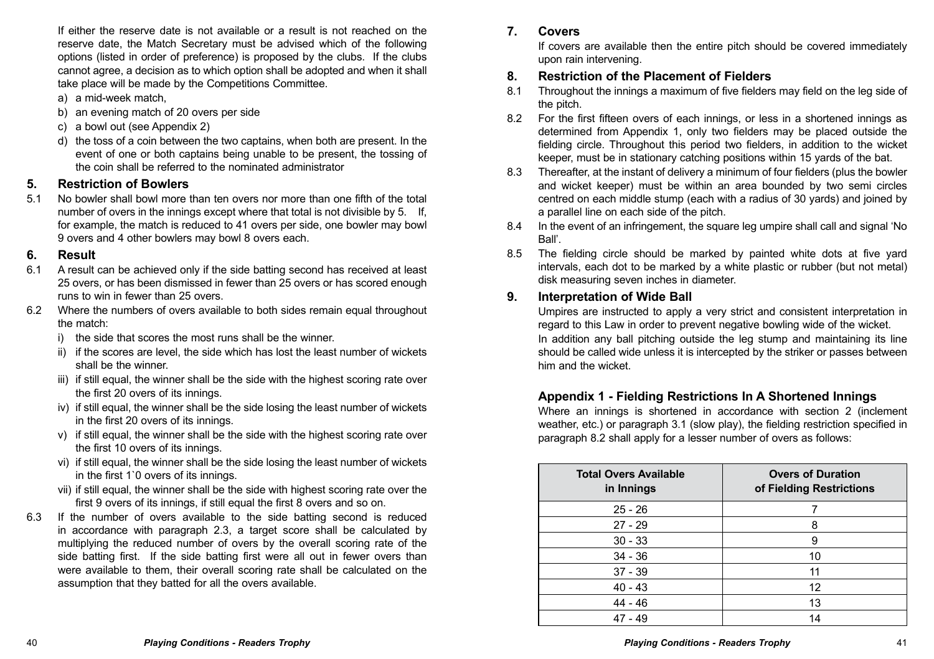If either the reserve date is not available or a result is not reached on the reserve date, the Match Secretary must be advised which of the following options (listed in order of preference) is proposed by the clubs. If the clubs cannot agree, a decision as to which option shall be adopted and when it shall take place will be made by the Competitions Committee.

- a) a mid-week match,
- b) an evening match of 20 overs per side
- c) a bowl out (see Appendix 2)
- d) the toss of a coin between the two captains, when both are present. In the event of one or both captains being unable to be present, the tossing of the coin shall be referred to the nominated administrator

### **5. Restriction of Bowlers**

5.1 No bowler shall bowl more than ten overs nor more than one fifth of the total number of overs in the innings except where that total is not divisible by 5. If, for example, the match is reduced to 41 overs per side, one bowler may bowl 9 overs and 4 other bowlers may bowl 8 overs each.

#### **6. Result**

- 6.1 A result can be achieved only if the side batting second has received at least 25 overs, or has been dismissed in fewer than 25 overs or has scored enough runs to win in fewer than 25 overs.
- 6.2 Where the numbers of overs available to both sides remain equal throughout the match:
	- i) the side that scores the most runs shall be the winner.
	- ii) if the scores are level, the side which has lost the least number of wickets shall be the winner.
	- iii) if still equal, the winner shall be the side with the highest scoring rate over the first 20 overs of its innings.
	- iv) if still equal, the winner shall be the side losing the least number of wickets in the first 20 overs of its innings.
	- v) if still equal, the winner shall be the side with the highest scoring rate over the first 10 overs of its innings.
	- vi) if still equal, the winner shall be the side losing the least number of wickets in the first 1`0 overs of its innings.
	- vii) if still equal, the winner shall be the side with highest scoring rate over the first 9 overs of its innings, if still equal the first 8 overs and so on.
- 6.3 If the number of overs available to the side batting second is reduced in accordance with paragraph 2.3, a target score shall be calculated by multiplying the reduced number of overs by the overall scoring rate of the side batting first. If the side batting first were all out in fewer overs than were available to them, their overall scoring rate shall be calculated on the assumption that they batted for all the overs available.

## **7. Covers**

If covers are available then the entire pitch should be covered immediately upon rain intervening.

### **8. Restriction of the Placement of Fielders**

- 8.1 Throughout the innings a maximum of five fielders may field on the leg side of the pitch.
- 8.2 For the first fifteen overs of each innings, or less in a shortened innings as determined from Appendix 1, only two fielders may be placed outside the fielding circle. Throughout this period two fielders, in addition to the wicket keeper, must be in stationary catching positions within 15 yards of the bat.
- 8.3 Thereafter, at the instant of delivery a minimum of four fielders (plus the bowler and wicket keeper) must be within an area bounded by two semi circles centred on each middle stump (each with a radius of 30 yards) and joined by a parallel line on each side of the pitch.
- 8.4 In the event of an infringement, the square leg umpire shall call and signal 'No Ball'.
- 8.5 The fielding circle should be marked by painted white dots at five yard intervals, each dot to be marked by a white plastic or rubber (but not metal) disk measuring seven inches in diameter.

## **9. Interpretation of Wide Ball**

Umpires are instructed to apply a very strict and consistent interpretation in regard to this Law in order to prevent negative bowling wide of the wicket. In addition any ball pitching outside the leg stump and maintaining its line should be called wide unless it is intercepted by the striker or passes between him and the wicket.

## **Appendix 1 - Fielding Restrictions In A Shortened Innings**

Where an innings is shortened in accordance with section 2 (inclement weather, etc.) or paragraph 3.1 (slow play), the fielding restriction specified in paragraph 8.2 shall apply for a lesser number of overs as follows:

| <b>Total Overs Available</b><br>in Innings | <b>Overs of Duration</b><br>of Fielding Restrictions |  |  |
|--------------------------------------------|------------------------------------------------------|--|--|
| $25 - 26$                                  |                                                      |  |  |
| $27 - 29$                                  | 8                                                    |  |  |
| $30 - 33$                                  | 9                                                    |  |  |
| $34 - 36$                                  | 10                                                   |  |  |
| $37 - 39$                                  | 11                                                   |  |  |
| $40 - 43$                                  | 12                                                   |  |  |
| $44 - 46$                                  | 13                                                   |  |  |
| $47 - 49$                                  | 14                                                   |  |  |